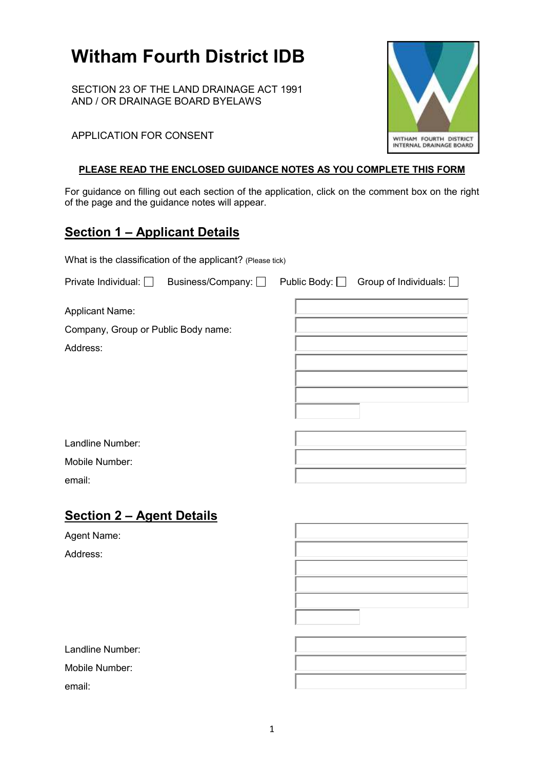# **Witham Fourth District IDB**

SECTION 23 OF THE LAND DRAINAGE ACT 1991 AND / OR DRAINAGE BOARD BYELAWS

#### APPLICATION FOR CONSENT

#### **PLEASE READ THE ENCLOSED GUIDANCE NOTES AS YOU COMPLETE THIS FORM**

For guidance on filling out each section of the application, click on the comment box on the right of the page and the guidance notes will appear.

# **Section 1 – Applicant Details**

What is the classification of the applicant? (Please tick)

| Private Individual: $\Box$                                                | Business/Company: □ | Public Body: $\Box$ Group of Individuals: $\Box$ |
|---------------------------------------------------------------------------|---------------------|--------------------------------------------------|
| <b>Applicant Name:</b><br>Company, Group or Public Body name:<br>Address: |                     |                                                  |
| Landline Number:                                                          |                     |                                                  |
| Mobile Number:                                                            |                     |                                                  |
| email:                                                                    |                     |                                                  |
| <b>Section 2 - Agent Details</b>                                          |                     |                                                  |
| Agent Name:                                                               |                     |                                                  |
| Address:                                                                  |                     |                                                  |

Landline Number: Mobile Number:

email:

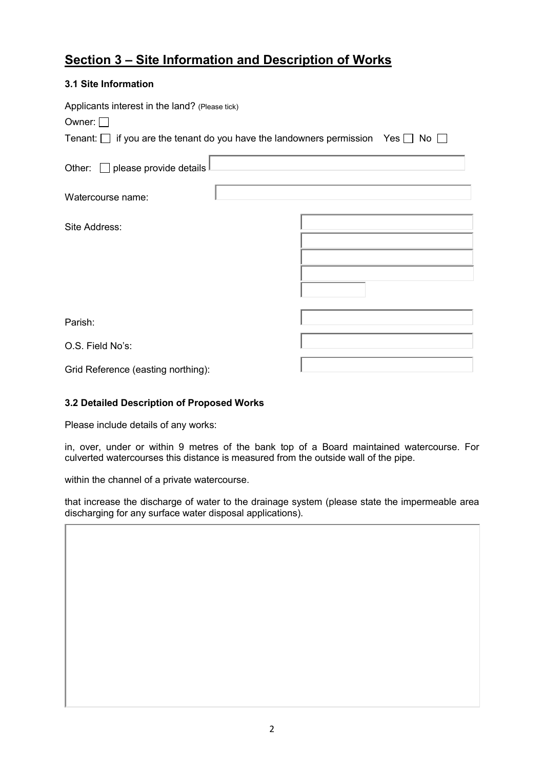# **Section 3 – Site Information and Description of Works**

#### **3.1 Site Information**

| Applicants interest in the land? (Please tick)                                                  |  |  |  |
|-------------------------------------------------------------------------------------------------|--|--|--|
| Owner: $\Box$                                                                                   |  |  |  |
| Tenant: $\Box$ if you are the tenant do you have the landowners permission Yes $\Box$ No $\Box$ |  |  |  |
| Other: $\Box$ please provide details                                                            |  |  |  |
| Watercourse name:                                                                               |  |  |  |
| Site Address:                                                                                   |  |  |  |
|                                                                                                 |  |  |  |
|                                                                                                 |  |  |  |
| Parish:                                                                                         |  |  |  |
|                                                                                                 |  |  |  |
| O.S. Field No's:                                                                                |  |  |  |
| Grid Reference (easting northing):                                                              |  |  |  |

#### **3.2 Detailed Description of Proposed Works**

Please include details of any works:

in, over, under or within 9 metres of the bank top of a Board maintained watercourse. For culverted watercourses this distance is measured from the outside wall of the pipe.

within the channel of a private watercourse.

that increase the discharge of water to the drainage system (please state the impermeable area discharging for any surface water disposal applications).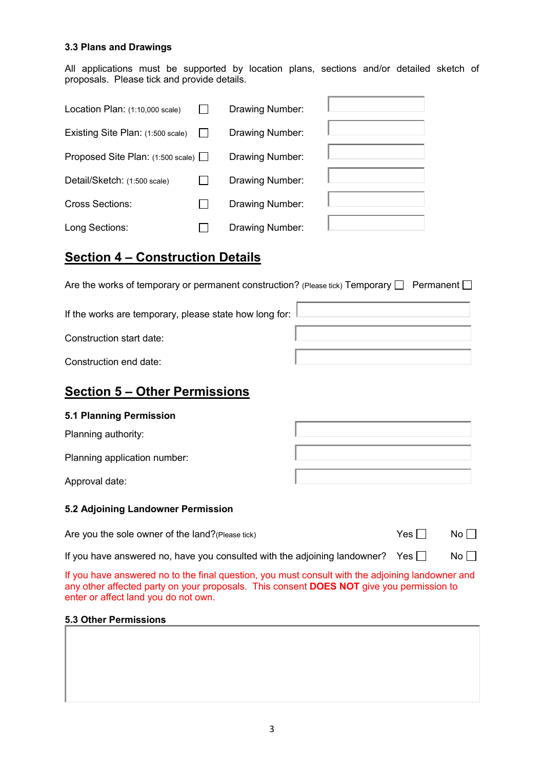#### **3.3 Plans and Drawings**

All applications must be supported by location plans, sections and/or detailed sketch of proposals. Please tick and provide details.

| Location Plan: (1:10,000 scale)   | Drawing Number: |  |
|-----------------------------------|-----------------|--|
| Existing Site Plan: (1:500 scale) | Drawing Number: |  |
| Proposed Site Plan: (1:500 scale) | Drawing Number: |  |
| Detail/Sketch: (1:500 scale)      | Drawing Number: |  |
| <b>Cross Sections:</b>            | Drawing Number: |  |
| Long Sections:                    | Drawing Number: |  |

### **Section 4 – Construction Details**

Are the works of temporary or permanent construction? (Please tick) Temporary  $\Box$  Permanent  $\Box$ 

If the works are temporary, please state how long for:

Construction start date:

### **Section 5 – Other Permissions**

#### **5.1 Planning Permission**

Planning authority:

Planning application number:

Approval date:

#### **5.2 Adjoining Landowner Permission**

Are you the sole owner of the land?(Please tick)  $Yes \Box$  No  $\Box$ 

If you have answered no, have you consulted with the adjoining landowner? Yes  $\Box$  No  $\Box$ 

If you have answered no to the final question, you must consult with the adjoining landowner and any other affected party on your proposals. This consent **DOES NOT** give you permission to enter or affect land you do not own.

#### **5.3 Other Permissions**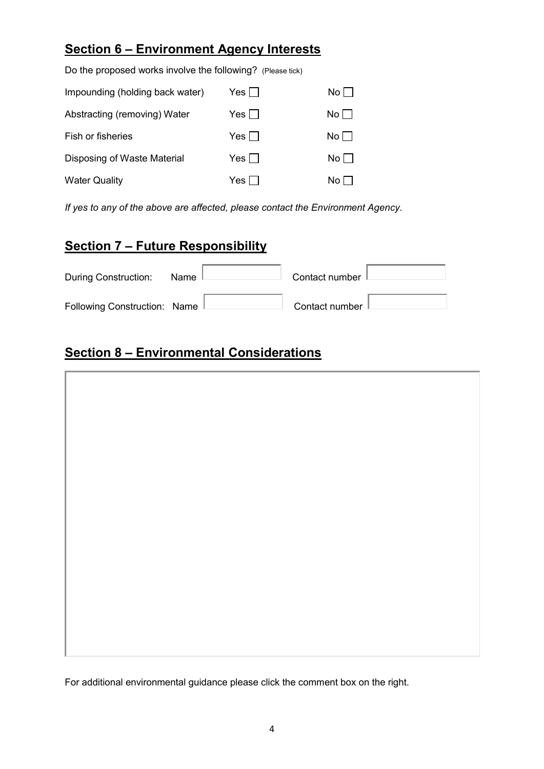# **Section 6 – Environment Agency Interests**

| Do the proposed works involve the following? (Please tick) |         |                      |
|------------------------------------------------------------|---------|----------------------|
| Impounding (holding back water)                            | Yes     | No I                 |
| Abstracting (removing) Water                               | Yes     | No                   |
| Fish or fisheries                                          | Yes I l | No                   |
| Disposing of Waste Material                                | Yes     | $No$ $\vert$ $\vert$ |
| <b>Water Quality</b>                                       | Yes'    | No.                  |

*If yes to any of the above are affected, please contact the Environment Agency.*

### **Section 7 – Future Responsibility**

| During Construction:           | Name | Contact number |
|--------------------------------|------|----------------|
| Following Construction: Name L |      | Contact number |

# **Section 8 – Environmental Considerations**



For additional environmental guidance please click the comment box on the right.